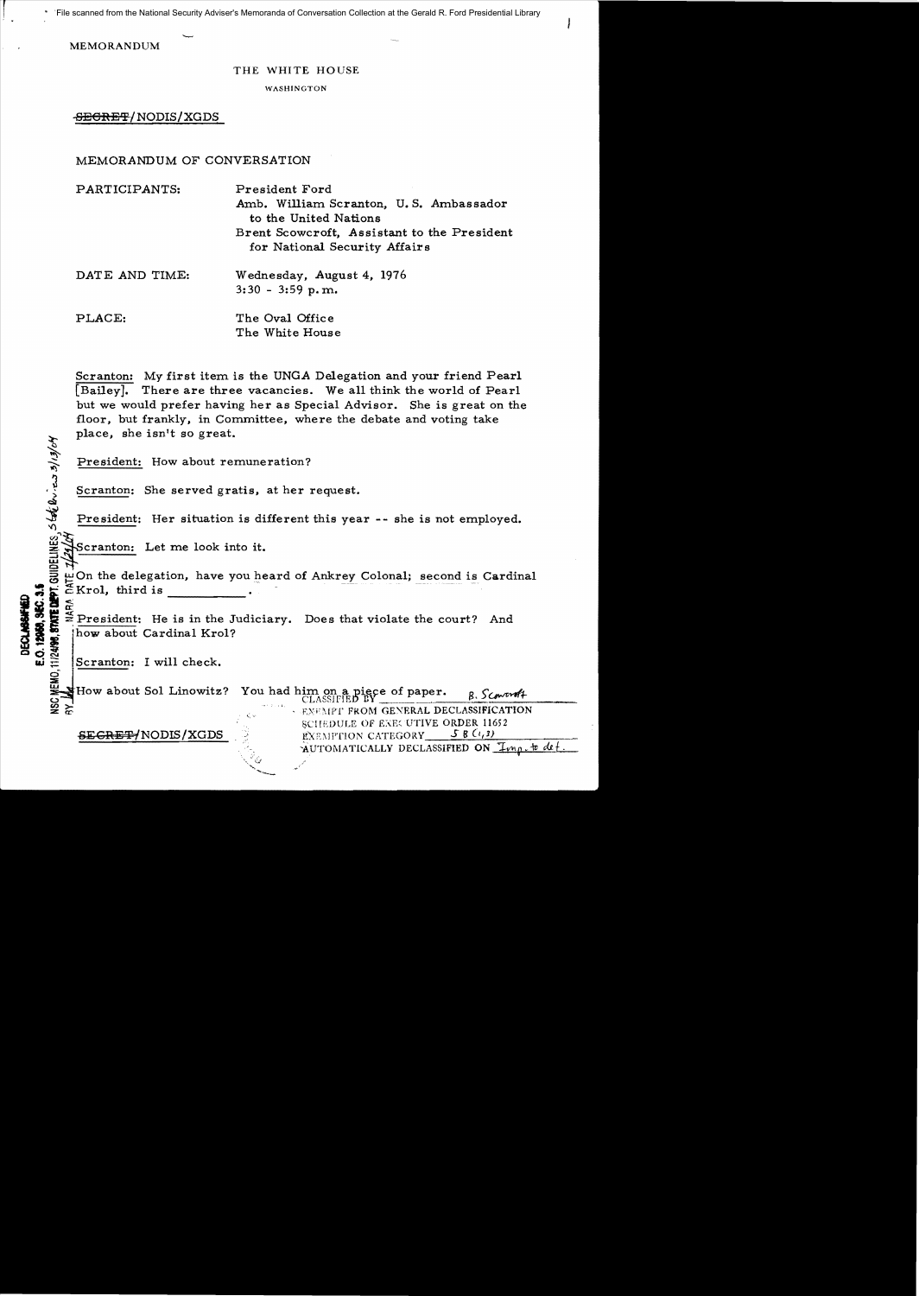File scanned from the National Security Adviser's Memoranda of Conversation Collection at the Gerald R. Ford Presidential Library

MEMORANDUM

## THE WHITE HOUSE

WASHINGTON

<del>SECRET</del>/NODIS/XGDS

## MEMORANDUM OF CONVERSATION

| PARTICIPANTS:  | President Ford<br>Amb. William Scranton, U.S. Ambassador<br>to the United Nations |
|----------------|-----------------------------------------------------------------------------------|
|                | Brent Scowcroft, Assistant to the President<br>for National Security Affairs      |
| DATE AND TIME: | Wednesday, August 4, 1976<br>$3:30 - 3:59$ p.m.                                   |
| PLACE:         | The Oval Office<br>The White House                                                |

Scranton: My first item is the UNGA Delegation and your friend Pearl [Bailey]. There are three vacancies. We a1l think the world of Pearl but we would prefer having her as Special Advisor. She is great on the floor, but frankly, in Committee, where the debate and voting take place, she isn't so great.

President: How about remuneration?

Scranton: She served gratis, at her request.

President: Her situation is different this year -- she is not employed.

 $n \lesssim$ Scranton: Let me look into it.

g On the delegation, have you I:-eard of Ankrey Colonal; second is Cardinal <sup>~</sup>i ~Kro1, third is .

∞  $\mathbb{E}$   $\stackrel{\leq}{\approx}$  President: He is in the Judiciary. Does that violate the court? And  $\mathbb{E}$  how about Cardinal Krol?

 $\begin{array}{c}\n\Xi \\
\Xi \\
\Xi\n\end{array}$  Scranton: I will check.

DECLASSAFIED<br>E.O. 12968, SEC. 3.5

**0: 12<br>|24!%** 

How about Sol Linowitz? You had him on a piece of paper.  $B.$  Scoward CLASSIFIED BY

BClfEDULE OF E:":W,lfTIVE ORDER 11652 8ECRE'F1NODIS!XGDS .' EXE \1 PTlON CATEGORy\_\_S:::-8:::....;:(-!1(.;,.1;...)=-\_\_---::-;-

AUTOMATICALLY DECLASSIFIED ON *Imp.to det*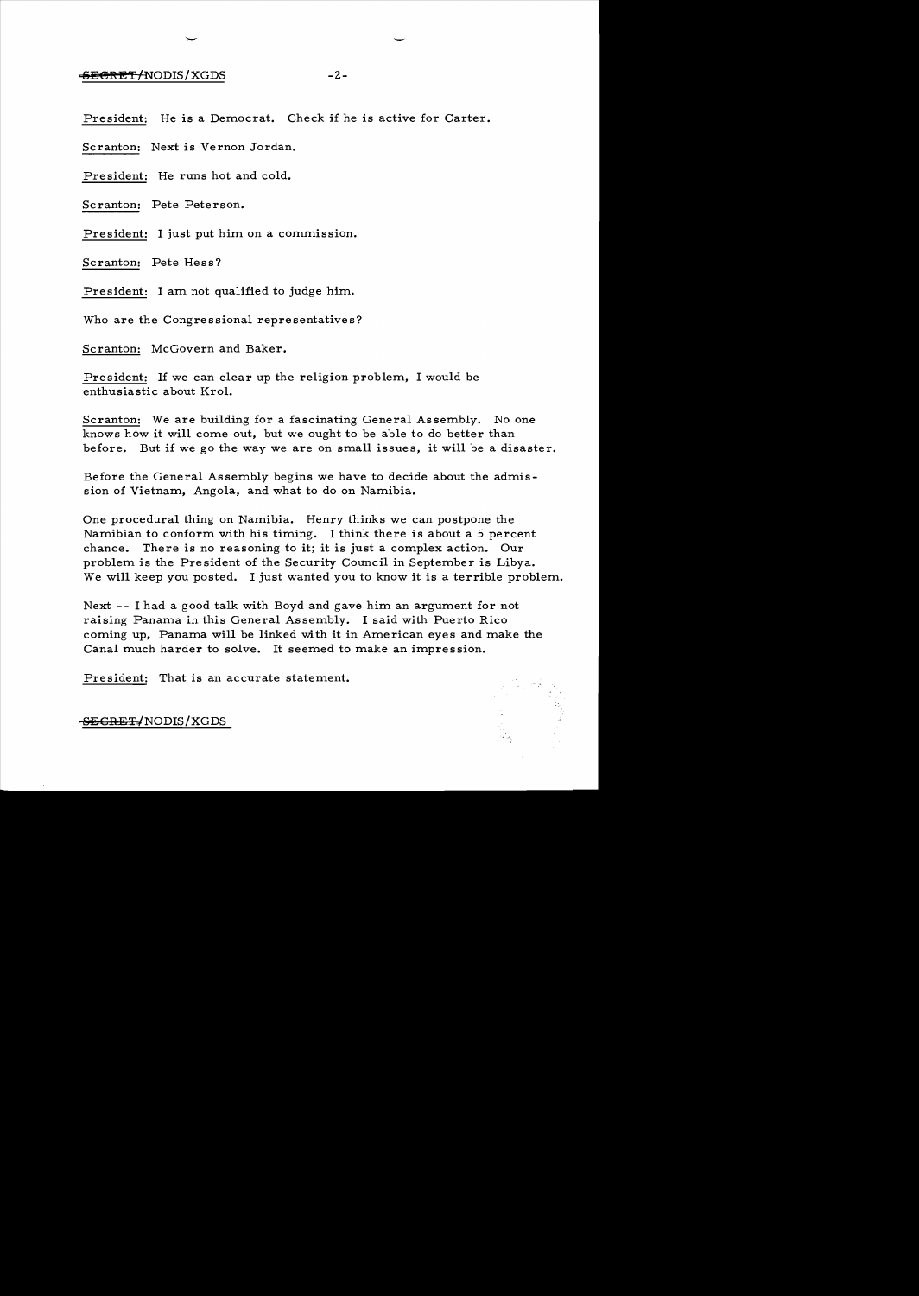## $-2-$

President: He is a Democrat. Check if he is active for Carter.

Scranton: Next is Vernon Jordan.

President: He runs hot and cold.

Scranton: Pete Peterson.

President: I just put him on a commission.

Scranton: Pete Hess?

President: I am not qualified to judge him.

Who are the Congressional representatives?

Scranton: McGovern and Baker.

President: If we can clear up the religion problem, I would be enthusiastic about Krol.

Scranton: We are building for a fascinating General Assembly. No one knows how it will come out, but we ought to be able to do better than before. But if we go the way we are on small issues, it will be a disaster.

Before the General Assembly begins we have to decide about the admission of Vietnam, Angola, and what to do on Namibia.

One procedural thing on Namibia. Henry thinks we can postpone the Namibian to conform with his timing. I think there is about a 5 percent chance. There is no reasoning to it; it is just a complex action. Our problem is the President of the Security Council in September is Libya. We will keep you posted. I just wanted you to know it is a terrible problem.

Next - - I had a good talk with Boyd and gave him an argument for not raising Panama in this General Assembly. I said with Puerto Rico coming up, Panama will be linked with it in American eyes and make the Canal much harder to solve. It seemed to make an impression.

President: That is an accurate statement.

SECRET/NODIS/XGDS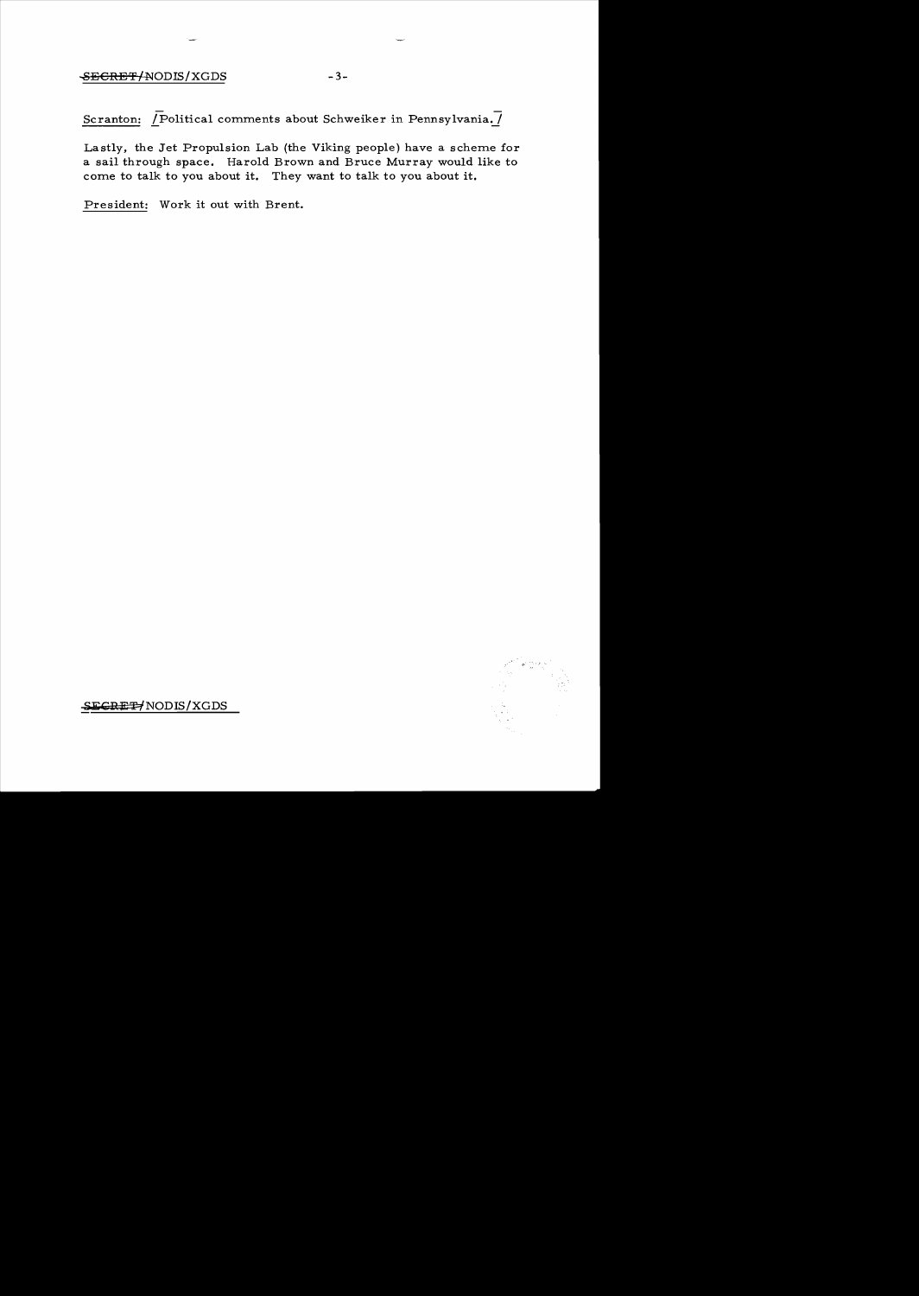## ~ECRETf-NODIS/XGDS -3

Scranton:  $\overline{P}$ Olitical comments about Schweiker in Pennsylvania. $\overline{I}$ 

Lastly, the Jet Propulsion Lab (the Viking people) have a scheme for a sail through space. Harold Brown and Bruce Murray would like to corne to talk to you about it. They want to talk to you about it.

President: Work it out with Brent.



SECRE<sup>#</sup>/NODIS/XGDS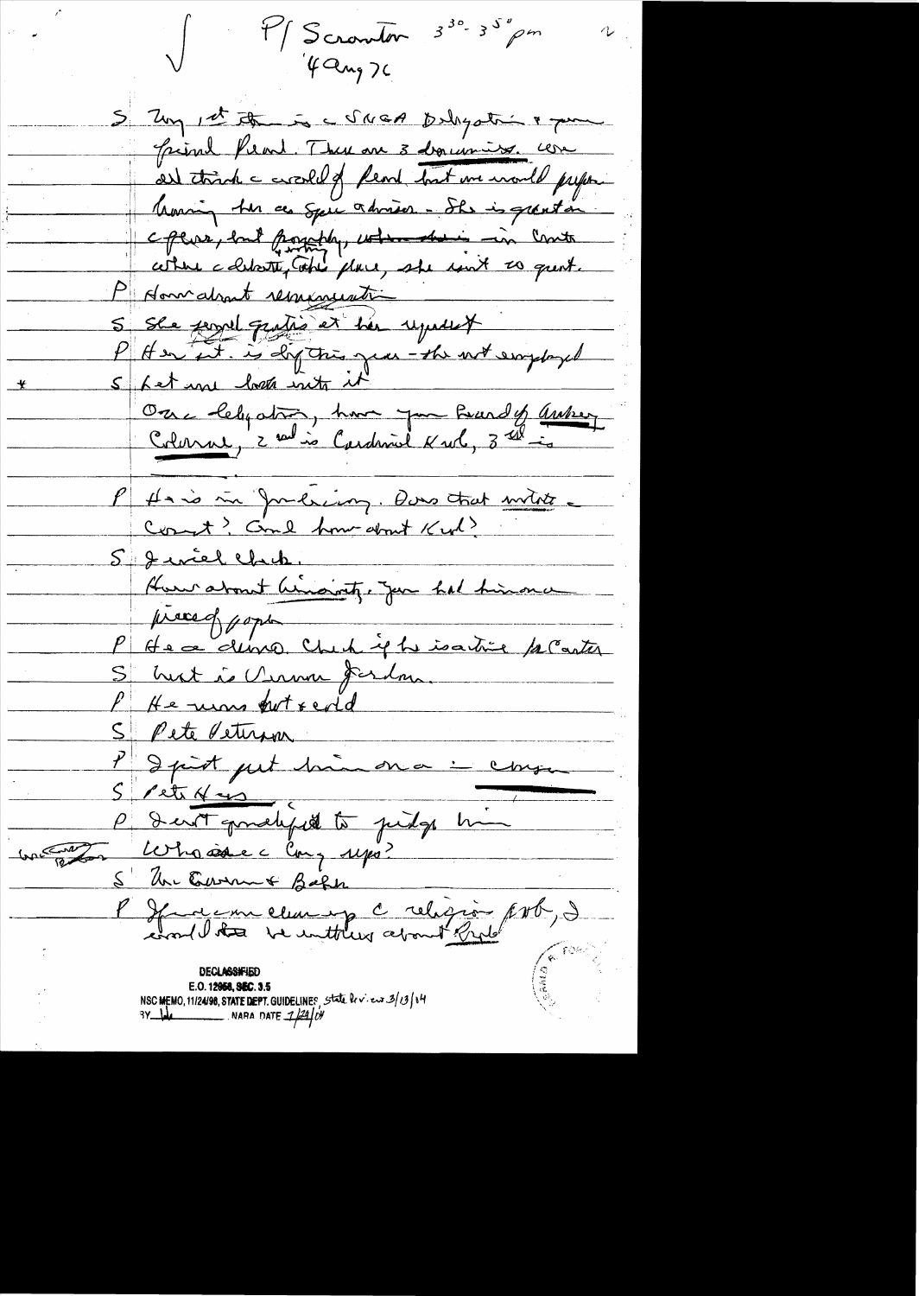$3^{30} - 3^{50}$  pm M/ Scrawton  $4a_{12}$  ) 5 Zuy et the is a Scient polyatri & pour <u>Griml Prent. There are 3 dequestions. com</u> al trink = croshed from but we would prefer Morring the as Special adviser - She is grant in cpers, but possibly, when their in Contr cette cellatte, take place, she unit to quest. P donnations rememention S She ferred quite et her reposent P Her it. is dig this year - the with employed Sket une lock into it Ore lebystre, hun par Prardy autres Hais in Jurésian, Dons trat milite. 5 Jeviel Chek. Hun about himaint, Jun hal himona  $\mu$  and  $\beta$ P Hea demo Check je he isative proater S hust i Chron fordu PKe ums pot redd S Pete Veturn<br>P d part put haa on a : consa<br>S Pete K as P I with gomely it judge him Who ise c Cong 140?  $lnn\sqrt{\frac{1}{R}}$ S Un Current Baker P Jacques elle pour le religion port, de E.O. 12958, SEC. 3.5 NSC MEMO, 11/24/98, STATE DEPT. GUIDELINES , State bev. eur 3/13/14  $3Y$  like  $\sim$  NARA DATE  $1/24/N$